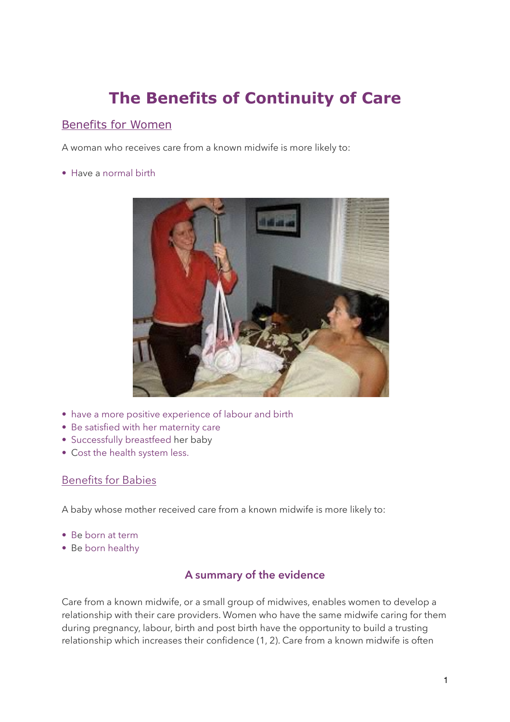# **The Benefits of Continuity of Care**

## Benefits for Women

A woman who receives care from a known midwife is more likely to:

• Have a normal birth



- have a more positive experience of labour and birth
- Be satisfied with her maternity care
- Successfully breastfeed her baby
- Cost the health system less.

#### Benefits for Babies

A baby whose mother received care from a known midwife is more likely to:

- Be born at term
- Be born healthy

### **A summary of the evidence**

Care from a known midwife, or a small group of midwives, enables women to develop a relationship with their care providers. Women who have the same midwife caring for them during pregnancy, labour, birth and post birth have the opportunity to build a trusting relationship which increases their confidence (1, 2). Care from a known midwife is often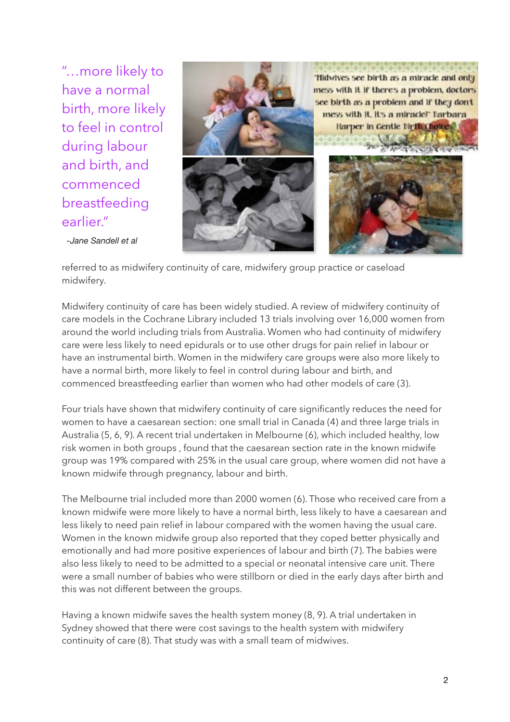"…more likely to have a normal birth, more likely to feel in control during labour and birth, and commenced breastfeeding earlier."



*-Jane Sandell et al*

referred to as midwifery continuity of care, midwifery group practice or caseload midwifery.

Midwifery continuity of care has been widely studied. A review of midwifery continuity of care models in the Cochrane Library included 13 trials involving over 16,000 women from around the world including trials from Australia. Women who had continuity of midwifery care were less likely to need epidurals or to use other drugs for pain relief in labour or have an instrumental birth. Women in the midwifery care groups were also more likely to have a normal birth, more likely to feel in control during labour and birth, and commenced breastfeeding earlier than women who had other models of care (3).

Four trials have shown that midwifery continuity of care significantly reduces the need for women to have a caesarean section: one small trial in Canada (4) and three large trials in Australia (5, 6, 9). A recent trial undertaken in Melbourne (6), which included healthy, low risk women in both groups , found that the caesarean section rate in the known midwife group was 19% compared with 25% in the usual care group, where women did not have a known midwife through pregnancy, labour and birth.

The Melbourne trial included more than 2000 women (6). Those who received care from a known midwife were more likely to have a normal birth, less likely to have a caesarean and less likely to need pain relief in labour compared with the women having the usual care. Women in the known midwife group also reported that they coped better physically and emotionally and had more positive experiences of labour and birth (7). The babies were also less likely to need to be admitted to a special or neonatal intensive care unit. There were a small number of babies who were stillborn or died in the early days after birth and this was not different between the groups.

Having a known midwife saves the health system money (8, 9). A trial undertaken in Sydney showed that there were cost savings to the health system with midwifery continuity of care (8). That study was with a small team of midwives.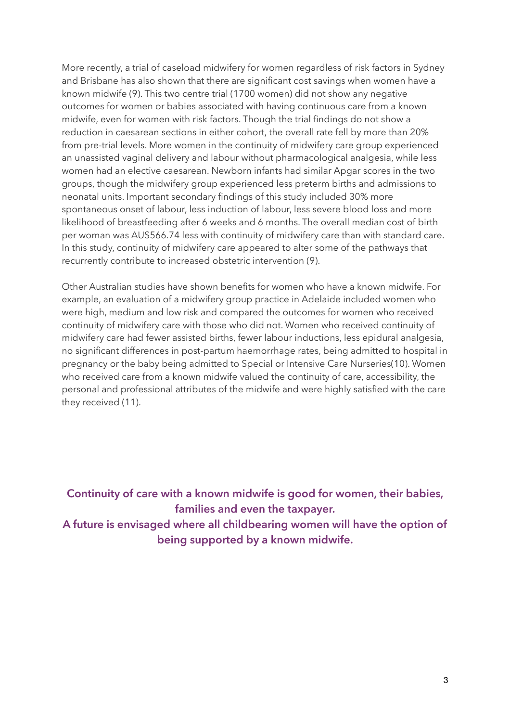More recently, a trial of caseload midwifery for women regardless of risk factors in Sydney and Brisbane has also shown that there are significant cost savings when women have a known midwife (9). This two centre trial (1700 women) did not show any negative outcomes for women or babies associated with having continuous care from a known midwife, even for women with risk factors. Though the trial findings do not show a reduction in caesarean sections in either cohort, the overall rate fell by more than 20% from pre-trial levels. More women in the continuity of midwifery care group experienced an unassisted vaginal delivery and labour without pharmacological analgesia, while less women had an elective caesarean. Newborn infants had similar Apgar scores in the two groups, though the midwifery group experienced less preterm births and admissions to neonatal units. Important secondary findings of this study included 30% more spontaneous onset of labour, less induction of labour, less severe blood loss and more likelihood of breastfeeding after 6 weeks and 6 months. The overall median cost of birth per woman was AU\$566.74 less with continuity of midwifery care than with standard care. In this study, continuity of midwifery care appeared to alter some of the pathways that recurrently contribute to increased obstetric intervention (9).

Other Australian studies have shown benefits for women who have a known midwife. For example, an evaluation of a midwifery group practice in Adelaide included women who were high, medium and low risk and compared the outcomes for women who received continuity of midwifery care with those who did not. Women who received continuity of midwifery care had fewer assisted births, fewer labour inductions, less epidural analgesia, no significant differences in post-partum haemorrhage rates, being admitted to hospital in pregnancy or the baby being admitted to Special or Intensive Care Nurseries(10). Women who received care from a known midwife valued the continuity of care, accessibility, the personal and professional attributes of the midwife and were highly satisfied with the care they received (11).

**Continuity of care with a known midwife is good for women, their babies, families and even the taxpayer. A future is envisaged where all childbearing women will have the option of being supported by a known midwife.**